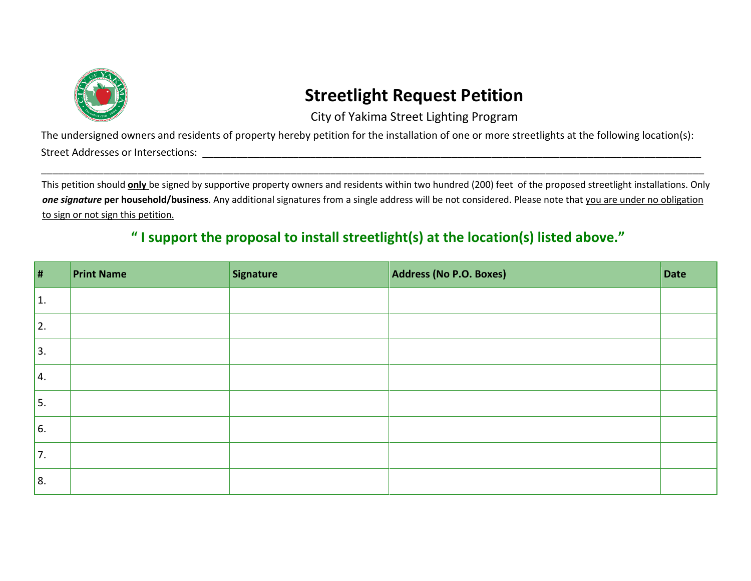

## **Streetlight Request Petition**

City of Yakima Street Lighting Program

The undersigned owners and residents of property hereby petition for the installation of one or more streetlights at the following location(s): Street Addresses or Intersections: \_\_\_\_\_\_\_\_\_\_\_\_\_\_\_\_\_\_\_\_\_\_\_\_\_\_\_\_\_\_\_\_\_\_\_\_\_\_\_\_\_\_\_\_\_\_\_\_\_\_\_\_\_\_\_\_\_\_\_\_\_\_\_\_\_\_\_\_\_\_\_\_\_\_\_\_\_\_\_\_\_\_\_\_\_\_\_\_

This petition should **only** be signed by supportive property owners and residents within two hundred (200) feet of the proposed streetlight installations. Only *one signature* **per household/business**. Any additional signatures from a single address will be not considered. Please note that you are under no obligation to sign or not sign this petition.

\_\_\_\_\_\_\_\_\_\_\_\_\_\_\_\_\_\_\_\_\_\_\_\_\_\_\_\_\_\_\_\_\_\_\_\_\_\_\_\_\_\_\_\_\_\_\_\_\_\_\_\_\_\_\_\_\_\_\_\_\_\_\_\_\_\_\_\_\_\_\_\_\_\_\_\_\_\_\_\_\_\_\_\_\_\_\_\_\_\_\_\_\_\_\_\_\_\_\_\_\_\_\_\_\_\_\_\_\_\_\_\_\_\_\_\_\_

## **" I support the proposal to install streetlight(s) at the location(s) listed above."**

| $\vert$ #      | <b>Print Name</b> | Signature | Address (No P.O. Boxes) | Date |
|----------------|-------------------|-----------|-------------------------|------|
| $\mathbf{1}$ . |                   |           |                         |      |
| 2.             |                   |           |                         |      |
| 3.             |                   |           |                         |      |
| 4.             |                   |           |                         |      |
| 5.             |                   |           |                         |      |
| 6.             |                   |           |                         |      |
| 7.             |                   |           |                         |      |
| 8.             |                   |           |                         |      |